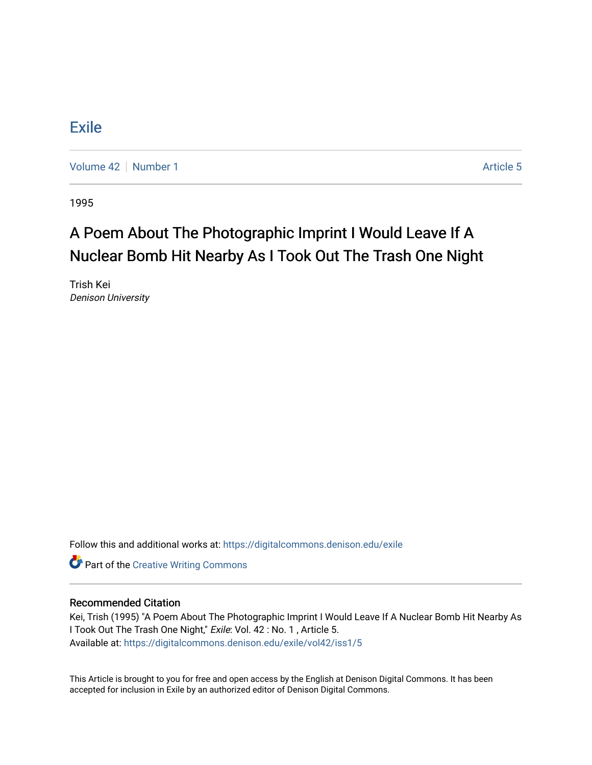## **[Exile](https://digitalcommons.denison.edu/exile)**

[Volume 42](https://digitalcommons.denison.edu/exile/vol42) [Number 1](https://digitalcommons.denison.edu/exile/vol42/iss1) Article 5

1995

## A Poem About The Photographic Imprint I Would Leave If A Nuclear Bomb Hit Nearby As I Took Out The Trash One Night

Trish Kei Denison University

Follow this and additional works at: [https://digitalcommons.denison.edu/exile](https://digitalcommons.denison.edu/exile?utm_source=digitalcommons.denison.edu%2Fexile%2Fvol42%2Fiss1%2F5&utm_medium=PDF&utm_campaign=PDFCoverPages) 

**Part of the Creative Writing Commons** 

## Recommended Citation

Kei, Trish (1995) "A Poem About The Photographic Imprint I Would Leave If A Nuclear Bomb Hit Nearby As I Took Out The Trash One Night," Exile: Vol. 42 : No. 1 , Article 5. Available at: [https://digitalcommons.denison.edu/exile/vol42/iss1/5](https://digitalcommons.denison.edu/exile/vol42/iss1/5?utm_source=digitalcommons.denison.edu%2Fexile%2Fvol42%2Fiss1%2F5&utm_medium=PDF&utm_campaign=PDFCoverPages) 

This Article is brought to you for free and open access by the English at Denison Digital Commons. It has been accepted for inclusion in Exile by an authorized editor of Denison Digital Commons.